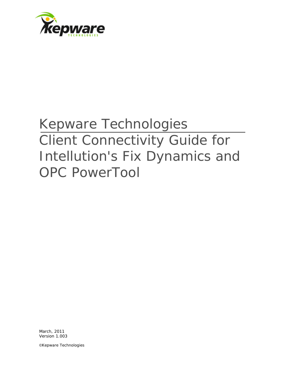

# Kepware Technologies Client Connectivity Guide for Intellution's Fix Dynamics and OPC PowerTool

March, 2011 Version 1.003

©Kepware Technologies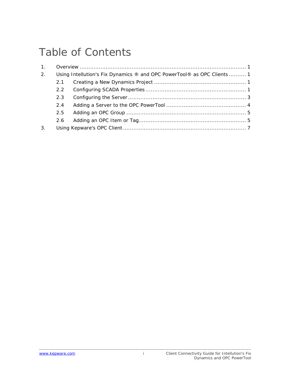## Table of Contents

| 1. |                                                                         |  |  |
|----|-------------------------------------------------------------------------|--|--|
| 2. | Using Intellution's Fix Dynamics ® and OPC PowerTool® as OPC Clients  1 |  |  |
|    | 2.1                                                                     |  |  |
|    | $2.2^{\circ}$                                                           |  |  |
|    | 2.3                                                                     |  |  |
|    | 2.4                                                                     |  |  |
|    | 2.5                                                                     |  |  |
|    | 2.6                                                                     |  |  |
| 3. |                                                                         |  |  |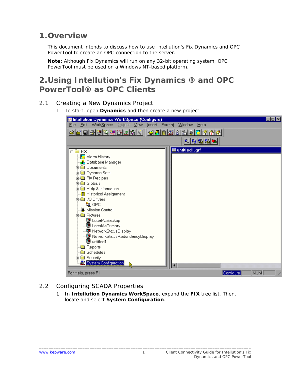#### <span id="page-2-0"></span>**1.Overview**

This document intends to discuss how to use Intellution's Fix Dynamics and OPC PowerTool to create an OPC connection to the server.

**Note:** Although Fix Dynamics will run on any 32-bit operating system, OPC PowerTool must be used on a Windows NT-based platform.

## **2.Using Intellution's Fix Dynamics ® and OPC PowerTool® as OPC Clients**

- 2.1 Creating a New Dynamics Project
	- 1. To start, open **Dynamics** and then create a new project.

| Intellution Dynamics WorkSpace (Configure)                                                                                                                                                                                                                                                                                                                                                                                                                                                        | $\Box$ olx       |
|---------------------------------------------------------------------------------------------------------------------------------------------------------------------------------------------------------------------------------------------------------------------------------------------------------------------------------------------------------------------------------------------------------------------------------------------------------------------------------------------------|------------------|
| WorkSpace<br>$E$ dit<br>Object<br>$\vee$ iew<br>File<br>Insert<br>Format<br>Window<br>$H$ elp                                                                                                                                                                                                                                                                                                                                                                                                     |                  |
| 8889888 <u>261</u><br>전세 B 조 & & # E 2 A A                                                                                                                                                                                                                                                                                                                                                                                                                                                        |                  |
| 이어버티                                                                                                                                                                                                                                                                                                                                                                                                                                                                                              |                  |
| untitled1.grf<br><b>E-BEREY</b>                                                                                                                                                                                                                                                                                                                                                                                                                                                                   |                  |
| <mark>3</mark> Alarm History<br><u>. A</u> Database Manager<br><b>Documents</b><br>Ĥ<br><b>E</b> Dynamo Sets<br><b>in a</b> FIX Recipes<br><b>मे</b> Globals<br><b>E</b> Help & Information<br>- <mark>蘭</mark> Historical Assignment<br>白   1/0 Drivers<br>—‼ <sub>∎</sub> opc<br>₩ Mission Control<br><b>A</b> Pictures<br>및 LocalAsBackup<br>冥 LocalAsPrimary<br>g NetworkStatusDisplay<br>图 NetworkStatusRedundancyDisplay<br><b>©</b> untitled1<br>Reports<br>Schedules<br><b>E</b> Security |                  |
| <b>Ex System Configuration</b>                                                                                                                                                                                                                                                                                                                                                                                                                                                                    |                  |
| For Help, press F1                                                                                                                                                                                                                                                                                                                                                                                                                                                                                | NUM<br>Configure |

#### 2.2 Configuring SCADA Properties

1. In **Intellution Dynamics WorkSpace**, expand the **FIX** tree list. Then, locate and select **System Configuration**.

\_\_\_\_\_\_\_\_\_\_\_\_\_\_\_\_\_\_\_\_\_\_\_\_\_\_\_\_\_\_\_\_\_\_\_\_\_\_\_\_\_\_\_\_\_\_\_\_\_\_\_\_\_\_\_\_\_\_\_\_\_\_\_\_\_\_\_\_\_\_\_\_\_\_\_\_\_\_\_\_\_\_\_\_\_\_\_\_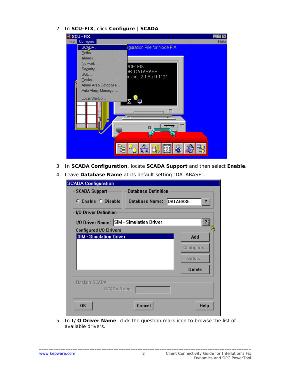2. In **SCU-FIX**, click **Configure** | **SCADA**.

| SCU-FIX             |                             |
|---------------------|-----------------------------|
| Configure<br>Eile   | Help                        |
| SCADA               | iguration File for Node FIX |
| Paths               |                             |
| Alarms              |                             |
| Network             | DDE: FIX                    |
| Segurity            | <b>B: DATABASE</b>          |
| $SQL$               | rsion: 2.1 Build 1121       |
| Tasks               |                             |
| Alarm Area Database |                             |
| Auto Alarm Manager  |                             |
| Local Startup       |                             |
|                     |                             |
|                     |                             |
|                     |                             |
|                     |                             |
|                     | г                           |
|                     |                             |
|                     |                             |
|                     |                             |
|                     | es<br>420                   |
|                     |                             |

- 3. In **SCADA Configuration**, locate **SCADA Support** and then select **Enable**.
- 4. Leave **Database Name** at its default setting "DATABASE".

| <b>SCADA Configuration</b>                         |                              |  |  |
|----------------------------------------------------|------------------------------|--|--|
| <b>Database Definition</b><br><b>SCADA Support</b> |                              |  |  |
| C Enable C Disable                                 | Database Name: DATABASE<br>? |  |  |
| 1/0 Driver Definition                              |                              |  |  |
| 1/0 Driver Name: SIM - Simulation Driver           | $\frac{2}{3}$                |  |  |
| Configured I/O Drivers                             |                              |  |  |
| <b>SIM - Simulation Driver</b>                     | Add                          |  |  |
|                                                    | Configure.                   |  |  |
|                                                    | Setup                        |  |  |
|                                                    | <b>Delete</b>                |  |  |
| <b>Backup SCADA</b>                                |                              |  |  |
| SCADA Name:                                        |                              |  |  |
| Cancel<br><b>OK</b>                                | <b>Help</b>                  |  |  |

5. In **I/O Driver Name**, click the question mark icon to browse the list of available drivers.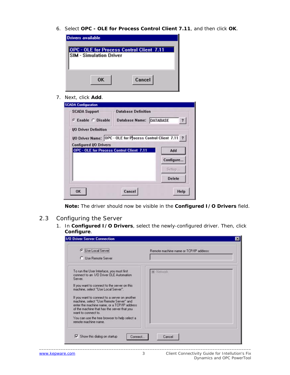<span id="page-4-0"></span>6. Select **OPC - OLE for Process Control Client 7.11**, and then click **OK**.

| Drivers available                                                                  |        |
|------------------------------------------------------------------------------------|--------|
| <b>DPC - OLE for Process Control Client 7.11</b><br><b>SIM - Simulation Driver</b> |        |
| 0K                                                                                 | Cancel |

7. Next, click **Add**.

| <b>SCADA Support</b>                      | <b>Database Definition</b>                                          |                         |
|-------------------------------------------|---------------------------------------------------------------------|-------------------------|
| <b>G</b> Enable C Disable                 | <b>Database Name: DATABASE</b>                                      | $\overline{\mathbf{r}}$ |
| <b>UO Driver Definition</b>               |                                                                     |                         |
|                                           | <b>I/O Driver Name:</b> OPC - OLE for Process Control Client 7.11 ? |                         |
| <b>Configured I/O Drivers</b>             |                                                                     |                         |
| OPC - OLE for Process Control Client 7.11 |                                                                     | Add                     |
|                                           |                                                                     |                         |
|                                           |                                                                     | Configure               |
|                                           |                                                                     | Setup                   |
|                                           |                                                                     | <b>Delete</b>           |

**Note:** The driver should now be visible in the **Configured I/O Drivers** field.

- 2.3 Configuring the Server
	- 1. In **Configured I/O Drivers**, select the newly-configured driver. Then, click **Configure**.

| <b>C</b> Use Local Server<br><b>C</b> Use Remote Server                                                                                                                                                                                                                                                                                                                                                 | Remote machine name or TCP/IP address: |
|---------------------------------------------------------------------------------------------------------------------------------------------------------------------------------------------------------------------------------------------------------------------------------------------------------------------------------------------------------------------------------------------------------|----------------------------------------|
| To run the User Interface, you must first<br>connect to an 1/0 Driver OLE Automation<br>Server.<br>If you want to connect to the server on this<br>machine, select "Use Local Server".<br>If you want to connect to a server on another<br>machine, select "Use Remote Server" and<br>enter the machine name, or a TCP/IP address<br>of the machine that has the server that you<br>want to connect to. | <b>El-Network</b>                      |
| You can use the tree browser to help select a<br>remote machine name.                                                                                                                                                                                                                                                                                                                                   |                                        |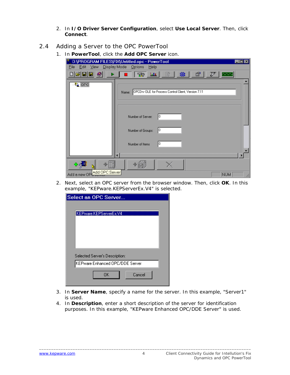- 2. In **I/O Driver Server Configuration**, select **Use Local Server**. Then, click **Connect**.
- <span id="page-5-0"></span>2.4 Adding a Server to the OPC PowerTool
	- 1. In **PowerTool**, click the **Add OPC Server** icon.

| D:\PROGRAM FILES\FIX\Untitled.opc - PowerTool<br>Display Mode Options<br>Edit View<br>Help<br>File                                                                                                                                                                                                                                                                                              | EOX                |
|-------------------------------------------------------------------------------------------------------------------------------------------------------------------------------------------------------------------------------------------------------------------------------------------------------------------------------------------------------------------------------------------------|--------------------|
| $\mathcal{B}[\mathbf{E} \mathbf{E} \mathbf{\varnothing}]$<br>鉴<br>団<br>$\frac{1}{2}$ $\frac{1}{2}$ $\frac{1}{2}$ $\frac{1}{2}$ $\frac{1}{2}$ $\frac{1}{2}$ $\frac{1}{2}$ $\frac{1}{2}$ $\frac{1}{2}$ $\frac{1}{2}$ $\frac{1}{2}$ $\frac{1}{2}$ $\frac{1}{2}$ $\frac{1}{2}$ $\frac{1}{2}$ $\frac{1}{2}$ $\frac{1}{2}$ $\frac{1}{2}$ $\frac{1}{2}$ $\frac{1}{2}$ $\frac{1}{2}$ $\frac{1}{2}$<br>图 | P<br><b>Bununi</b> |
| <sup>‼</sup> ≧ OPC<br>OPCDrv OLE for Frocess Control Client, Version 7.11<br>Name:                                                                                                                                                                                                                                                                                                              |                    |
|                                                                                                                                                                                                                                                                                                                                                                                                 |                    |
| 10<br>Number of Server:                                                                                                                                                                                                                                                                                                                                                                         |                    |
| 10<br>Number of Groups:                                                                                                                                                                                                                                                                                                                                                                         |                    |
|                                                                                                                                                                                                                                                                                                                                                                                                 |                    |
| 10<br>Number of Items                                                                                                                                                                                                                                                                                                                                                                           |                    |
|                                                                                                                                                                                                                                                                                                                                                                                                 |                    |
| Add a new OP Add OPC Server                                                                                                                                                                                                                                                                                                                                                                     | NUM                |

2. Next, select an OPC server from the browser window. Then, click **OK**. In this example, "KEPware.KEPServerEx.V4" is selected.

| Select an OPC Server            |
|---------------------------------|
|                                 |
| KEPware.KEPServerEx.V4          |
|                                 |
|                                 |
|                                 |
|                                 |
|                                 |
| Selected Server's Description:  |
| KEPware Enhanced OPC/DDE Server |
| OK<br>Cancel                    |
|                                 |

- 3. In **Server Name**, specify a name for the server. In this example, "Server1" is used.
- 4. In **Description**, enter a short description of the server for identification purposes. In this example, "KEPware Enhanced OPC/DDE Server" is used.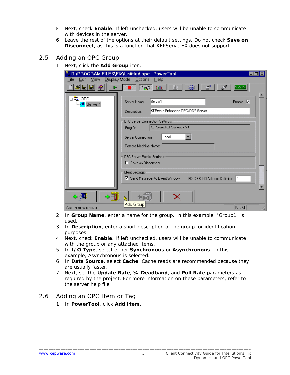- <span id="page-6-0"></span>5. Next, check **Enable**. If left unchecked, users will be unable to communicate with devices in the server.
- 6. Leave the rest of the options at their default settings. Do not check **Save on Disconnect**, as this is a function that KEPServerEX does not support.
- 2.5 Adding an OPC Group
	- 1. Next, click the **Add Group** icon.

| Edit ⊻iew<br>File                      | D:\PROGRAM FILES\FIX\Untitled.opc - PowerTool<br>Display Mode Octions<br>Help                                       |    |
|----------------------------------------|---------------------------------------------------------------------------------------------------------------------|----|
| H<br>G                                 | 龜<br>P<br>$\mathcal{R}$<br>勖<br>ft<br>-litr                                                                         |    |
| ⊟ LA OPC<br><mark>∰</mark> Server1     | Server1<br>Enable $ \nabla $<br>Server Name:<br>KEPware Enhanced OPC/DDE Server<br>Description:                     |    |
|                                        | OPC Serve: Connection Settings:<br>KEPware.KEPServerEx.V4<br>FrogID:<br>Server Connection:<br>Local                 |    |
|                                        | Remote Machine Name:<br><b>OPC Serve: Persist Settings:</b>                                                         |    |
|                                        | □ Save on Disconnect<br><b>Clent Settings:</b><br>Ⅳ Send Messages to Event Window<br>FIX DBB 1/0 Address Delimiter: |    |
| ≎酣<br>$\div$ $\div$<br>Add a new group | <b>Add Group</b><br>NUM                                                                                             | ▼∣ |

- 2. In **Group Name**, enter a name for the group. In this example, "Group1" is used.
- 3. In **Description**, enter a short description of the group for identification purposes.
- 4. Next, check **Enable**. If left unchecked, users will be unable to communicate with the group or any attached items.
- 5. In **I/O Type**, select either **Synchronous** or **Asynchronous**. In this example, Asynchronous is selected.
- 6. In **Data Source**, select **Cache**. Cache reads are recommended because they are usually faster.
- 7. Next, set the **Update Rate**, **% Deadband**, and **Poll Rate** parameters as required by the project. For more information on these parameters, refer to the server help file.

#### 2.6 Adding an OPC Item or Tag

1. In **PowerTool**, click **Add Item**.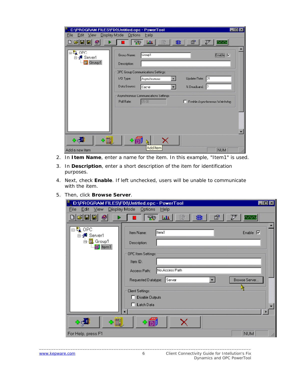| Edit View<br>Eile<br>$\mathfrak{S}[\mathbf{E}][\mathbf{E}]$<br>Ø       | D:\PROGRAM FILES\FIX\Untitled.opc - PowerTool<br>$-101\times$<br>Display Mode Octions<br><b>Help</b><br>龜<br>₽<br>$\mathbf{m}$<br>勖<br>é?<br><b>m</b><br><b>Participa</b>                         |
|------------------------------------------------------------------------|---------------------------------------------------------------------------------------------------------------------------------------------------------------------------------------------------|
| ⊟-Č <mark>â</mark> OPC<br>⊟-s <sup>3</sup> Server1<br><b>E.</b> Group1 | Enable V<br>Liroup1<br>Group Name:<br>Description:<br><b>JPC Group Communications Settings:</b>                                                                                                   |
|                                                                        | Update Nate:<br>Asynchronous<br>וכן<br>1/0 Type:<br>Data Source:<br>% Deadband.<br>IJ<br>l Cache<br>Asynchronous Communications Settings:<br>05:00<br>Poll Rate:<br>Finable Asynchronous Watchdog |
|                                                                        |                                                                                                                                                                                                   |
| ∻圓<br>$\mathbf{c}$<br>Add a new item                                   | Add Item<br>NUM                                                                                                                                                                                   |

- 2. In **Item Name**, enter a name for the item. In this example, "Item1" is used.
- 3. In **Description**, enter a short description of the item for identification purposes.
- 4. Next, check **Enable**. If left unchecked, users will be unable to communicate with the item.
- 5. Then, click **Browse Server**.

| D:\PROGRAM FILES\FIX\Untitled.opc - PowerTool                                                                                             | $\blacksquare$ $\blacksquare$ $\times$ |
|-------------------------------------------------------------------------------------------------------------------------------------------|----------------------------------------|
| Display Mode Options<br>Eile Edit View<br>$He$ lp                                                                                         |                                        |
| $\mathcal{C}[\mathbf{u} \mathbf{u}]$<br>$\bullet$<br>雛<br>348 山<br>毗                                                                      | ß<br>P<br><b>EUALAU</b>                |
| ⊟ <sup>.a</sup> n OPC<br>ltem1<br>Item Name:<br>⊟⊶s <sup>at</sup> Server1<br>⊟- <b>III</b> Group1<br>Description:<br>6 <sup>3</sup> Item1 | Enable $\nabla$                        |
| OPC Item Settings:<br>Item ID:<br>No Access Path<br>Access Path:                                                                          |                                        |
| ∥Server<br>Requested D atatype:<br>Client Settings:                                                                                       | Browse Server                          |
| Disable Outputs<br>п<br>$\Box$ Latch Data                                                                                                 |                                        |
| ◦圓<br>$\Phi$<br>×                                                                                                                         |                                        |
| For Help, press F1                                                                                                                        | NUM<br>h,                              |